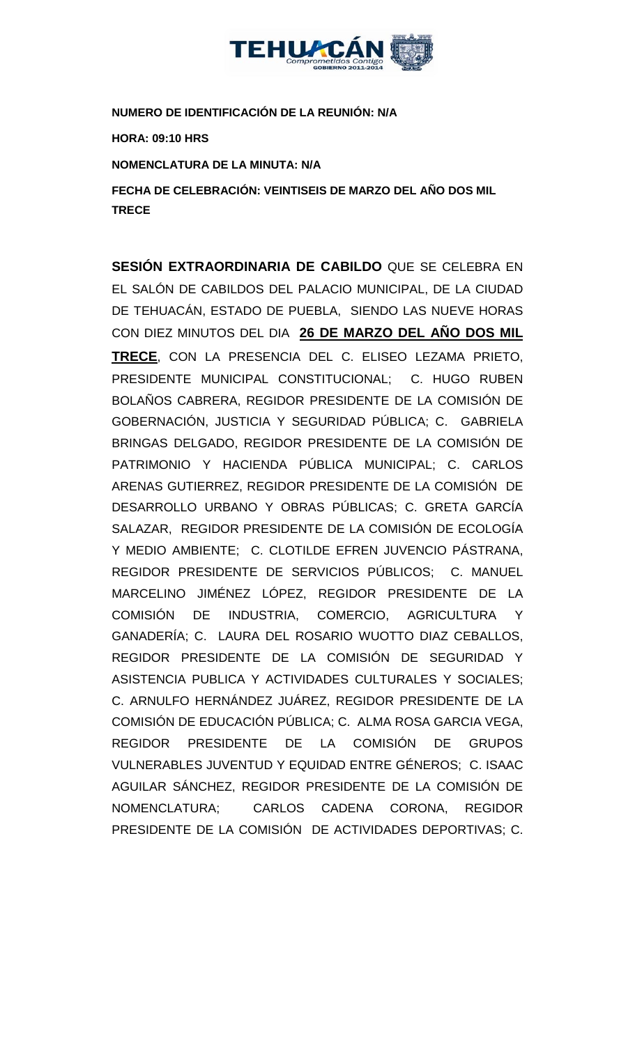

**NUMERO DE IDENTIFICACIÓN DE LA REUNIÓN: N/A HORA: 09:10 HRS NOMENCLATURA DE LA MINUTA: N/A FECHA DE CELEBRACIÓN: VEINTISEIS DE MARZO DEL AÑO DOS MIL TRECE** 

**SESIÓN EXTRAORDINARIA DE CABILDO** QUE SE CELEBRA EN EL SALÓN DE CABILDOS DEL PALACIO MUNICIPAL, DE LA CIUDAD DE TEHUACÁN, ESTADO DE PUEBLA, SIENDO LAS NUEVE HORAS CON DIEZ MINUTOS DEL DIA **26 DE MARZO DEL AÑO DOS MIL TRECE**, CON LA PRESENCIA DEL C. ELISEO LEZAMA PRIETO, PRESIDENTE MUNICIPAL CONSTITUCIONAL; C. HUGO RUBEN BOLAÑOS CABRERA, REGIDOR PRESIDENTE DE LA COMISIÓN DE GOBERNACIÓN, JUSTICIA Y SEGURIDAD PÚBLICA; C. GABRIELA BRINGAS DELGADO, REGIDOR PRESIDENTE DE LA COMISIÓN DE PATRIMONIO Y HACIENDA PÚBLICA MUNICIPAL; C. CARLOS ARENAS GUTIERREZ, REGIDOR PRESIDENTE DE LA COMISIÓN DE DESARROLLO URBANO Y OBRAS PÚBLICAS; C. GRETA GARCÍA SALAZAR, REGIDOR PRESIDENTE DE LA COMISIÓN DE ECOLOGÍA Y MEDIO AMBIENTE; C. CLOTILDE EFREN JUVENCIO PÁSTRANA, REGIDOR PRESIDENTE DE SERVICIOS PÚBLICOS; C. MANUEL MARCELINO JIMÉNEZ LÓPEZ, REGIDOR PRESIDENTE DE LA COMISIÓN DE INDUSTRIA, COMERCIO, AGRICULTURA Y GANADERÍA; C. LAURA DEL ROSARIO WUOTTO DIAZ CEBALLOS, REGIDOR PRESIDENTE DE LA COMISIÓN DE SEGURIDAD Y ASISTENCIA PUBLICA Y ACTIVIDADES CULTURALES Y SOCIALES; C. ARNULFO HERNÁNDEZ JUÁREZ, REGIDOR PRESIDENTE DE LA COMISIÓN DE EDUCACIÓN PÚBLICA; C. ALMA ROSA GARCIA VEGA, REGIDOR PRESIDENTE DE LA COMISIÓN DE GRUPOS VULNERABLES JUVENTUD Y EQUIDAD ENTRE GÉNEROS; C. ISAAC AGUILAR SÁNCHEZ, REGIDOR PRESIDENTE DE LA COMISIÓN DE NOMENCLATURA; CARLOS CADENA CORONA, REGIDOR PRESIDENTE DE LA COMISIÓN DE ACTIVIDADES DEPORTIVAS; C.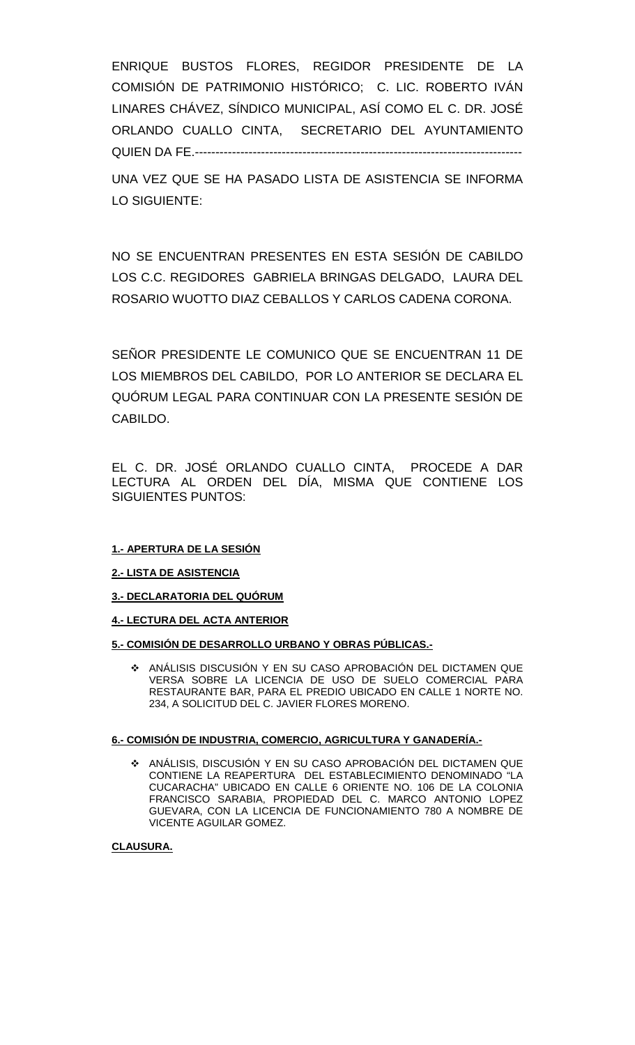ENRIQUE BUSTOS FLORES, REGIDOR PRESIDENTE DE LA COMISIÓN DE PATRIMONIO HISTÓRICO; C. LIC. ROBERTO IVÁN LINARES CHÁVEZ, SÍNDICO MUNICIPAL, ASÍ COMO EL C. DR. JOSÉ ORLANDO CUALLO CINTA, SECRETARIO DEL AYUNTAMIENTO QUIEN DA FE.-------------------------------------------------------------------------------

UNA VEZ QUE SE HA PASADO LISTA DE ASISTENCIA SE INFORMA LO SIGUIENTE:

NO SE ENCUENTRAN PRESENTES EN ESTA SESIÓN DE CABILDO LOS C.C. REGIDORES GABRIELA BRINGAS DELGADO, LAURA DEL ROSARIO WUOTTO DIAZ CEBALLOS Y CARLOS CADENA CORONA.

SEÑOR PRESIDENTE LE COMUNICO QUE SE ENCUENTRAN 11 DE LOS MIEMBROS DEL CABILDO, POR LO ANTERIOR SE DECLARA EL QUÓRUM LEGAL PARA CONTINUAR CON LA PRESENTE SESIÓN DE CABILDO.

EL C. DR. JOSÉ ORLANDO CUALLO CINTA, PROCEDE A DAR LECTURA AL ORDEN DEL DÍA, MISMA QUE CONTIENE LOS SIGUIENTES PUNTOS:

### **1.- APERTURA DE LA SESIÓN**

### **2.- LISTA DE ASISTENCIA**

**3.- DECLARATORIA DEL QUÓRUM**

### **4.- LECTURA DEL ACTA ANTERIOR**

### **5.- COMISIÓN DE DESARROLLO URBANO Y OBRAS PÚBLICAS.-**

 ANÁLISIS DISCUSIÓN Y EN SU CASO APROBACIÓN DEL DICTAMEN QUE VERSA SOBRE LA LICENCIA DE USO DE SUELO COMERCIAL PARA RESTAURANTE BAR, PARA EL PREDIO UBICADO EN CALLE 1 NORTE NO. 234, A SOLICITUD DEL C. JAVIER FLORES MORENO.

### **6.- COMISIÓN DE INDUSTRIA, COMERCIO, AGRICULTURA Y GANADERÍA.-**

 ANÁLISIS, DISCUSIÓN Y EN SU CASO APROBACIÓN DEL DICTAMEN QUE CONTIENE LA REAPERTURA DEL ESTABLECIMIENTO DENOMINADO "LA CUCARACHA" UBICADO EN CALLE 6 ORIENTE NO. 106 DE LA COLONIA FRANCISCO SARABIA, PROPIEDAD DEL C. MARCO ANTONIO LOPEZ GUEVARA, CON LA LICENCIA DE FUNCIONAMIENTO 780 A NOMBRE DE VICENTE AGUILAR GOMEZ.

### **CLAUSURA.**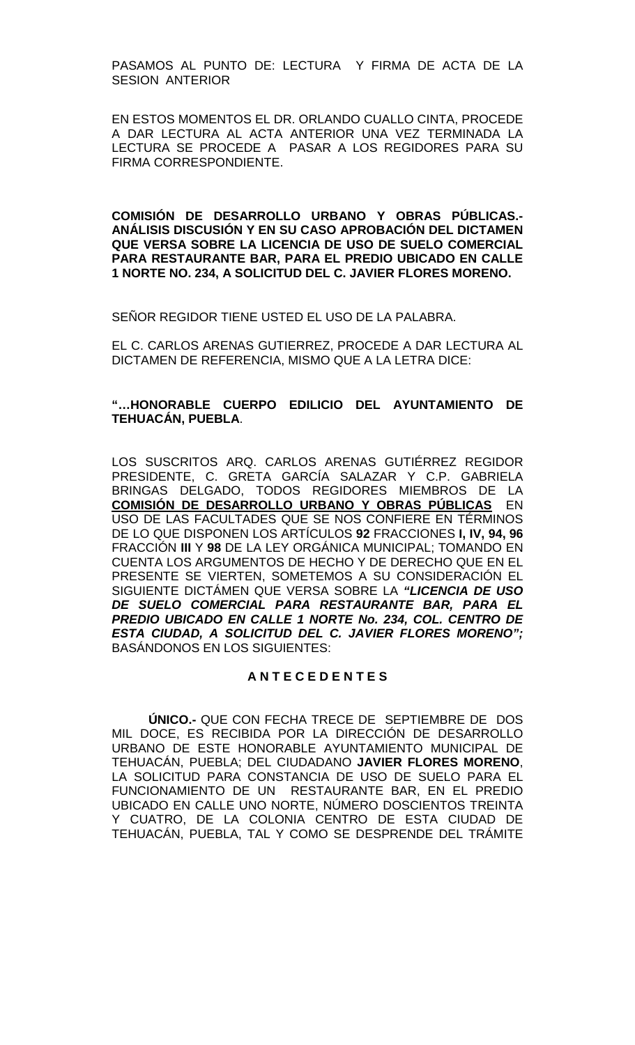PASAMOS AL PUNTO DE: LECTURA Y FIRMA DE ACTA DE LA SESION ANTERIOR

EN ESTOS MOMENTOS EL DR. ORLANDO CUALLO CINTA, PROCEDE A DAR LECTURA AL ACTA ANTERIOR UNA VEZ TERMINADA LA LECTURA SE PROCEDE A PASAR A LOS REGIDORES PARA SU FIRMA CORRESPONDIENTE.

**COMISIÓN DE DESARROLLO URBANO Y OBRAS PÚBLICAS.- ANÁLISIS DISCUSIÓN Y EN SU CASO APROBACIÓN DEL DICTAMEN QUE VERSA SOBRE LA LICENCIA DE USO DE SUELO COMERCIAL PARA RESTAURANTE BAR, PARA EL PREDIO UBICADO EN CALLE 1 NORTE NO. 234, A SOLICITUD DEL C. JAVIER FLORES MORENO.**

SEÑOR REGIDOR TIENE USTED EL USO DE LA PALABRA.

EL C. CARLOS ARENAS GUTIERREZ, PROCEDE A DAR LECTURA AL DICTAMEN DE REFERENCIA, MISMO QUE A LA LETRA DICE:

### **"…HONORABLE CUERPO EDILICIO DEL AYUNTAMIENTO DE TEHUACÁN, PUEBLA**.

LOS SUSCRITOS ARQ. CARLOS ARENAS GUTIÉRREZ REGIDOR PRESIDENTE, C. GRETA GARCÍA SALAZAR Y C.P. GABRIELA BRINGAS DELGADO, TODOS REGIDORES MIEMBROS DE LA **COMISIÓN DE DESARROLLO URBANO Y OBRAS PÚBLICAS** EN USO DE LAS FACULTADES QUE SE NOS CONFIERE EN TÉRMINOS DE LO QUE DISPONEN LOS ARTÍCULOS **92** FRACCIONES **I, IV, 94, 96** FRACCIÓN **III** Y **98** DE LA LEY ORGÁNICA MUNICIPAL; TOMANDO EN CUENTA LOS ARGUMENTOS DE HECHO Y DE DERECHO QUE EN EL PRESENTE SE VIERTEN, SOMETEMOS A SU CONSIDERACIÓN EL SIGUIENTE DICTÁMEN QUE VERSA SOBRE LA *"LICENCIA DE USO DE SUELO COMERCIAL PARA RESTAURANTE BAR, PARA EL PREDIO UBICADO EN CALLE 1 NORTE No. 234, COL. CENTRO DE ESTA CIUDAD, A SOLICITUD DEL C. JAVIER FLORES MORENO";*  BASÁNDONOS EN LOS SIGUIENTES:

### **A N T E C E D E N T E S**

**ÚNICO.-** QUE CON FECHA TRECE DE SEPTIEMBRE DE DOS MIL DOCE, ES RECIBIDA POR LA DIRECCIÓN DE DESARROLLO URBANO DE ESTE HONORABLE AYUNTAMIENTO MUNICIPAL DE TEHUACÁN, PUEBLA; DEL CIUDADANO **JAVIER FLORES MORENO**, LA SOLICITUD PARA CONSTANCIA DE USO DE SUELO PARA EL FUNCIONAMIENTO DE UN RESTAURANTE BAR, EN EL PREDIO UBICADO EN CALLE UNO NORTE, NÚMERO DOSCIENTOS TREINTA Y CUATRO, DE LA COLONIA CENTRO DE ESTA CIUDAD DE TEHUACÁN, PUEBLA, TAL Y COMO SE DESPRENDE DEL TRÁMITE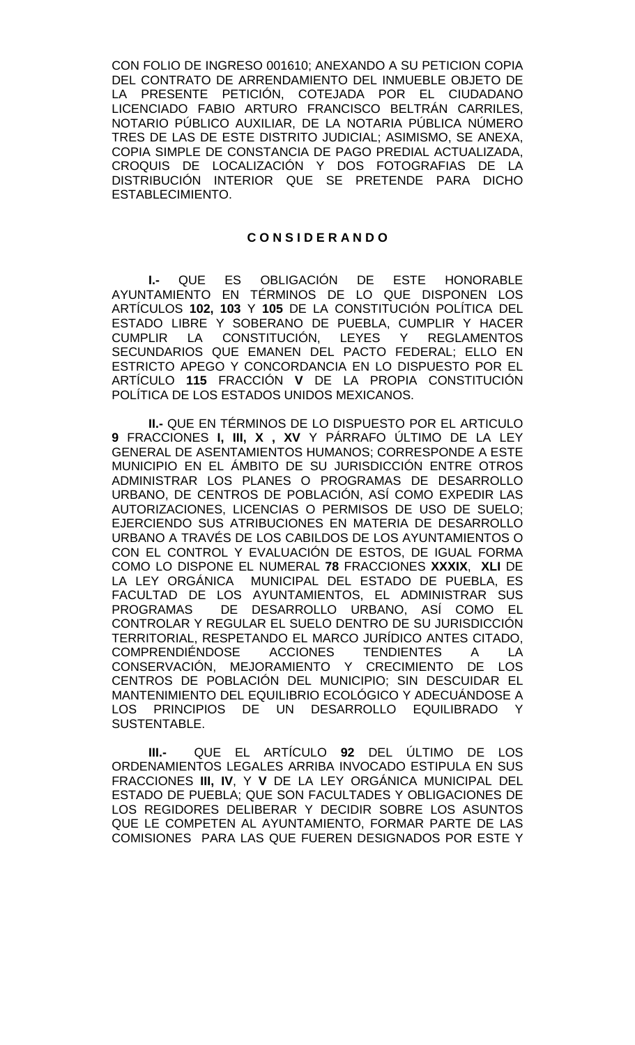CON FOLIO DE INGRESO 001610; ANEXANDO A SU PETICION COPIA DEL CONTRATO DE ARRENDAMIENTO DEL INMUEBLE OBJETO DE LA PRESENTE PETICIÓN, COTEJADA POR EL CIUDADANO LICENCIADO FABIO ARTURO FRANCISCO BELTRÁN CARRILES, NOTARIO PÚBLICO AUXILIAR, DE LA NOTARIA PÚBLICA NÚMERO TRES DE LAS DE ESTE DISTRITO JUDICIAL; ASIMISMO, SE ANEXA, COPIA SIMPLE DE CONSTANCIA DE PAGO PREDIAL ACTUALIZADA, CROQUIS DE LOCALIZACIÓN Y DOS FOTOGRAFIAS DE LA DISTRIBUCIÓN INTERIOR QUE SE PRETENDE PARA DICHO ESTABLECIMIENTO.

#### **C O N S I D E R A N D O**

**I.-** QUE ES OBLIGACIÓN DE ESTE HONORABLE AYUNTAMIENTO EN TÉRMINOS DE LO QUE DISPONEN LOS ARTÍCULOS **102, 103** Y **105** DE LA CONSTITUCIÓN POLÍTICA DEL ESTADO LIBRE Y SOBERANO DE PUEBLA, CUMPLIR Y HACER CUMPLIR LA CONSTITUCIÓN, LEYES Y REGLAMENTOS SECUNDARIOS QUE EMANEN DEL PACTO FEDERAL; ELLO EN ESTRICTO APEGO Y CONCORDANCIA EN LO DISPUESTO POR EL ARTÍCULO **115** FRACCIÓN **V** DE LA PROPIA CONSTITUCIÓN POLÍTICA DE LOS ESTADOS UNIDOS MEXICANOS.

**II.-** QUE EN TÉRMINOS DE LO DISPUESTO POR EL ARTICULO **9** FRACCIONES **I, III, X , XV** Y PÁRRAFO ÚLTIMO DE LA LEY GENERAL DE ASENTAMIENTOS HUMANOS; CORRESPONDE A ESTE MUNICIPIO EN EL ÁMBITO DE SU JURISDICCIÓN ENTRE OTROS ADMINISTRAR LOS PLANES O PROGRAMAS DE DESARROLLO URBANO, DE CENTROS DE POBLACIÓN, ASÍ COMO EXPEDIR LAS AUTORIZACIONES, LICENCIAS O PERMISOS DE USO DE SUELO; EJERCIENDO SUS ATRIBUCIONES EN MATERIA DE DESARROLLO URBANO A TRAVÉS DE LOS CABILDOS DE LOS AYUNTAMIENTOS O CON EL CONTROL Y EVALUACIÓN DE ESTOS, DE IGUAL FORMA COMO LO DISPONE EL NUMERAL **78** FRACCIONES **XXXIX**, **XLI** DE LA LEY ORGÁNICA MUNICIPAL DEL ESTADO DE PUEBLA, ES FACULTAD DE LOS AYUNTAMIENTOS, EL ADMINISTRAR SUS<br>PROGRAMAS - DE DESARROLLO URBANO. ASÍ COMO EL DE DESARROLLO URBANO, ASÍ COMO EL CONTROLAR Y REGULAR EL SUELO DENTRO DE SU JURISDICCIÓN TERRITORIAL, RESPETANDO EL MARCO JURÍDICO ANTES CITADO, COMPRENDIÉNDOSE ACCIONES TENDIENTES CONSERVACIÓN, MEJORAMIENTO Y CRECIMIENTO DE LOS CENTROS DE POBLACIÓN DEL MUNICIPIO; SIN DESCUIDAR EL MANTENIMIENTO DEL EQUILIBRIO ECOLÓGICO Y ADECUÁNDOSE A LOS PRINCIPIOS DE UN DESARROLLO EQUILIBRADO Y SUSTENTABLE.

**III.-** QUE EL ARTÍCULO **92** DEL ÚLTIMO DE LOS ORDENAMIENTOS LEGALES ARRIBA INVOCADO ESTIPULA EN SUS FRACCIONES **III, IV**, Y **V** DE LA LEY ORGÁNICA MUNICIPAL DEL ESTADO DE PUEBLA; QUE SON FACULTADES Y OBLIGACIONES DE LOS REGIDORES DELIBERAR Y DECIDIR SOBRE LOS ASUNTOS QUE LE COMPETEN AL AYUNTAMIENTO, FORMAR PARTE DE LAS COMISIONES PARA LAS QUE FUEREN DESIGNADOS POR ESTE Y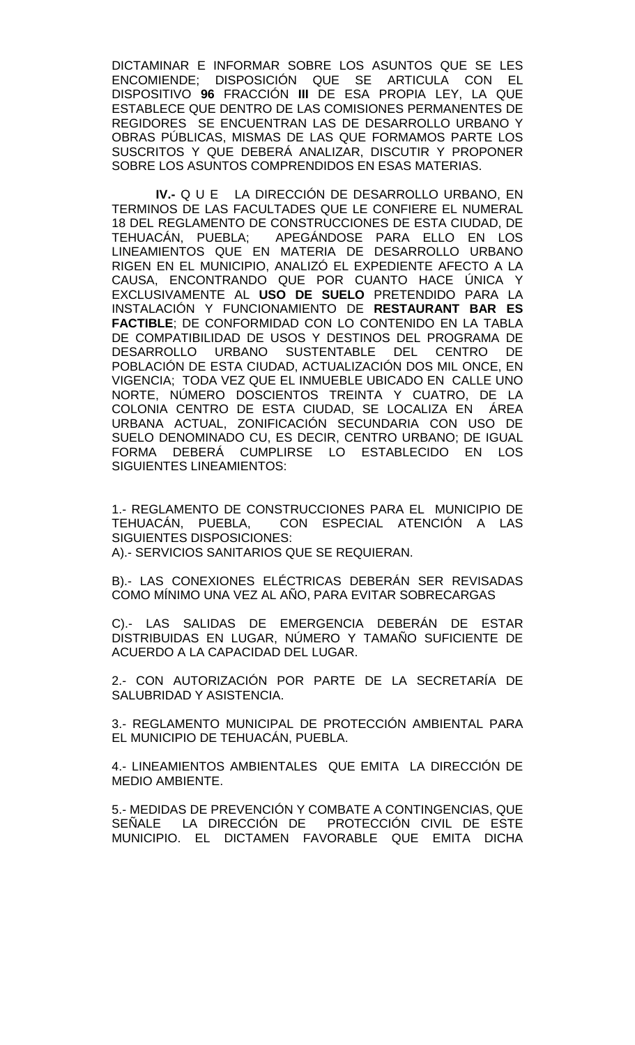DICTAMINAR E INFORMAR SOBRE LOS ASUNTOS QUE SE LES ENCOMIENDE; DISPOSICIÓN QUE SE ARTICULA CON EL DISPOSITIVO **96** FRACCIÓN **III** DE ESA PROPIA LEY, LA QUE ESTABLECE QUE DENTRO DE LAS COMISIONES PERMANENTES DE REGIDORES SE ENCUENTRAN LAS DE DESARROLLO URBANO Y OBRAS PÚBLICAS, MISMAS DE LAS QUE FORMAMOS PARTE LOS SUSCRITOS Y QUE DEBERÁ ANALIZAR, DISCUTIR Y PROPONER SOBRE LOS ASUNTOS COMPRENDIDOS EN ESAS MATERIAS.

**IV.-** Q U E LA DIRECCIÓN DE DESARROLLO URBANO, EN TERMINOS DE LAS FACULTADES QUE LE CONFIERE EL NUMERAL 18 DEL REGLAMENTO DE CONSTRUCCIONES DE ESTA CIUDAD, DE TEHUACÁN, PUEBLA; APEGÁNDOSE PARA ELLO EN LOS LINEAMIENTOS QUE EN MATERIA DE DESARROLLO URBANO RIGEN EN EL MUNICIPIO, ANALIZÓ EL EXPEDIENTE AFECTO A LA CAUSA, ENCONTRANDO QUE POR CUANTO HACE ÚNICA Y EXCLUSIVAMENTE AL **USO DE SUELO** PRETENDIDO PARA LA INSTALACIÓN Y FUNCIONAMIENTO DE **RESTAURANT BAR ES FACTIBLE**; DE CONFORMIDAD CON LO CONTENIDO EN LA TABLA DE COMPATIBILIDAD DE USOS Y DESTINOS DEL PROGRAMA DE DESARROLLO URBANO SUSTENTABLE DEL CENTRO DE POBLACIÓN DE ESTA CIUDAD, ACTUALIZACIÓN DOS MIL ONCE, EN VIGENCIA; TODA VEZ QUE EL INMUEBLE UBICADO EN CALLE UNO NORTE, NÚMERO DOSCIENTOS TREINTA Y CUATRO, DE LA COLONIA CENTRO DE ESTA CIUDAD, SE LOCALIZA EN ÁREA URBANA ACTUAL, ZONIFICACIÓN SECUNDARIA CON USO DE SUELO DENOMINADO CU, ES DECIR, CENTRO URBANO; DE IGUAL FORMA DEBERÁ CUMPLIRSE LO ESTABLECIDO EN LOS SIGUIENTES LINEAMIENTOS:

1.- REGLAMENTO DE CONSTRUCCIONES PARA EL MUNICIPIO DE TEHUACÁN, PUEBLA, CON ESPECIAL ATENCIÓN A LAS CON ESPECIAL ATENCIÓN A LAS SIGUIENTES DISPOSICIONES: A).- SERVICIOS SANITARIOS QUE SE REQUIERAN.

B).- LAS CONEXIONES ELÉCTRICAS DEBERÁN SER REVISADAS COMO MÍNIMO UNA VEZ AL AÑO, PARA EVITAR SOBRECARGAS

C).- LAS SALIDAS DE EMERGENCIA DEBERÁN DE ESTAR DISTRIBUIDAS EN LUGAR, NÚMERO Y TAMAÑO SUFICIENTE DE ACUERDO A LA CAPACIDAD DEL LUGAR.

2.- CON AUTORIZACIÓN POR PARTE DE LA SECRETARÍA DE SALUBRIDAD Y ASISTENCIA.

3.- REGLAMENTO MUNICIPAL DE PROTECCIÓN AMBIENTAL PARA EL MUNICIPIO DE TEHUACÁN, PUEBLA.

4.- LINEAMIENTOS AMBIENTALES QUE EMITA LA DIRECCIÓN DE MEDIO AMBIENTE.

5.- MEDIDAS DE PREVENCIÓN Y COMBATE A CONTINGENCIAS, QUE SEÑALE LA DIRECCIÓN DE PROTECCIÓN CIVIL DE ESTE MUNICIPIO. EL DICTAMEN FAVORABLE QUE EMITA DICHA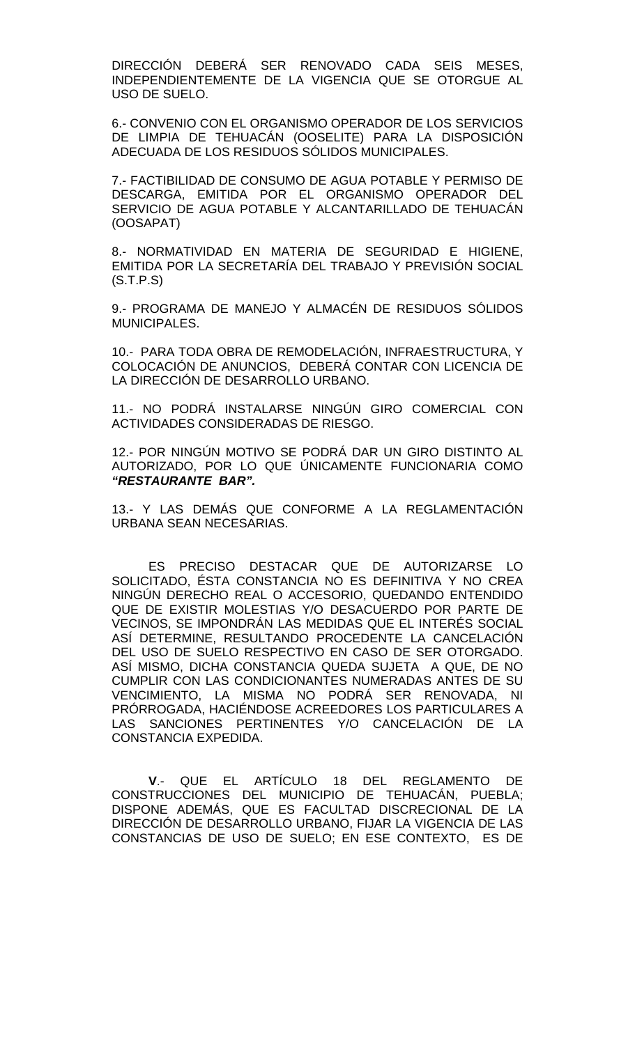DIRECCIÓN DEBERÁ SER RENOVADO CADA SEIS MESES, INDEPENDIENTEMENTE DE LA VIGENCIA QUE SE OTORGUE AL USO DE SUELO.

6.- CONVENIO CON EL ORGANISMO OPERADOR DE LOS SERVICIOS DE LIMPIA DE TEHUACÁN (OOSELITE) PARA LA DISPOSICIÓN ADECUADA DE LOS RESIDUOS SÓLIDOS MUNICIPALES.

7.- FACTIBILIDAD DE CONSUMO DE AGUA POTABLE Y PERMISO DE DESCARGA, EMITIDA POR EL ORGANISMO OPERADOR DEL SERVICIO DE AGUA POTABLE Y ALCANTARILLADO DE TEHUACÁN (OOSAPAT)

8.- NORMATIVIDAD EN MATERIA DE SEGURIDAD E HIGIENE, EMITIDA POR LA SECRETARÍA DEL TRABAJO Y PREVISIÓN SOCIAL (S.T.P.S)

9.- PROGRAMA DE MANEJO Y ALMACÉN DE RESIDUOS SÓLIDOS MUNICIPALES.

10.- PARA TODA OBRA DE REMODELACIÓN, INFRAESTRUCTURA, Y COLOCACIÓN DE ANUNCIOS, DEBERÁ CONTAR CON LICENCIA DE LA DIRECCIÓN DE DESARROLLO URBANO.

11.- NO PODRÁ INSTALARSE NINGÚN GIRO COMERCIAL CON ACTIVIDADES CONSIDERADAS DE RIESGO.

12.- POR NINGÚN MOTIVO SE PODRÁ DAR UN GIRO DISTINTO AL AUTORIZADO, POR LO QUE ÚNICAMENTE FUNCIONARIA COMO *"RESTAURANTE BAR".*

13.- Y LAS DEMÁS QUE CONFORME A LA REGLAMENTACIÓN URBANA SEAN NECESARIAS.

ES PRECISO DESTACAR QUE DE AUTORIZARSE LO SOLICITADO, ÉSTA CONSTANCIA NO ES DEFINITIVA Y NO CREA NINGÚN DERECHO REAL O ACCESORIO, QUEDANDO ENTENDIDO QUE DE EXISTIR MOLESTIAS Y/O DESACUERDO POR PARTE DE VECINOS, SE IMPONDRÁN LAS MEDIDAS QUE EL INTERÉS SOCIAL ASÍ DETERMINE, RESULTANDO PROCEDENTE LA CANCELACIÓN DEL USO DE SUELO RESPECTIVO EN CASO DE SER OTORGADO. ASÍ MISMO, DICHA CONSTANCIA QUEDA SUJETA A QUE, DE NO CUMPLIR CON LAS CONDICIONANTES NUMERADAS ANTES DE SU VENCIMIENTO, LA MISMA NO PODRÁ SER RENOVADA, NI PRÓRROGADA, HACIÉNDOSE ACREEDORES LOS PARTICULARES A LAS SANCIONES PERTINENTES Y/O CANCELACIÓN DE LA CONSTANCIA EXPEDIDA.

**V**.- QUE EL ARTÍCULO 18 DEL REGLAMENTO DE CONSTRUCCIONES DEL MUNICIPIO DE TEHUACÁN, PUEBLA; DISPONE ADEMÁS, QUE ES FACULTAD DISCRECIONAL DE LA DIRECCIÓN DE DESARROLLO URBANO, FIJAR LA VIGENCIA DE LAS CONSTANCIAS DE USO DE SUELO; EN ESE CONTEXTO, ES DE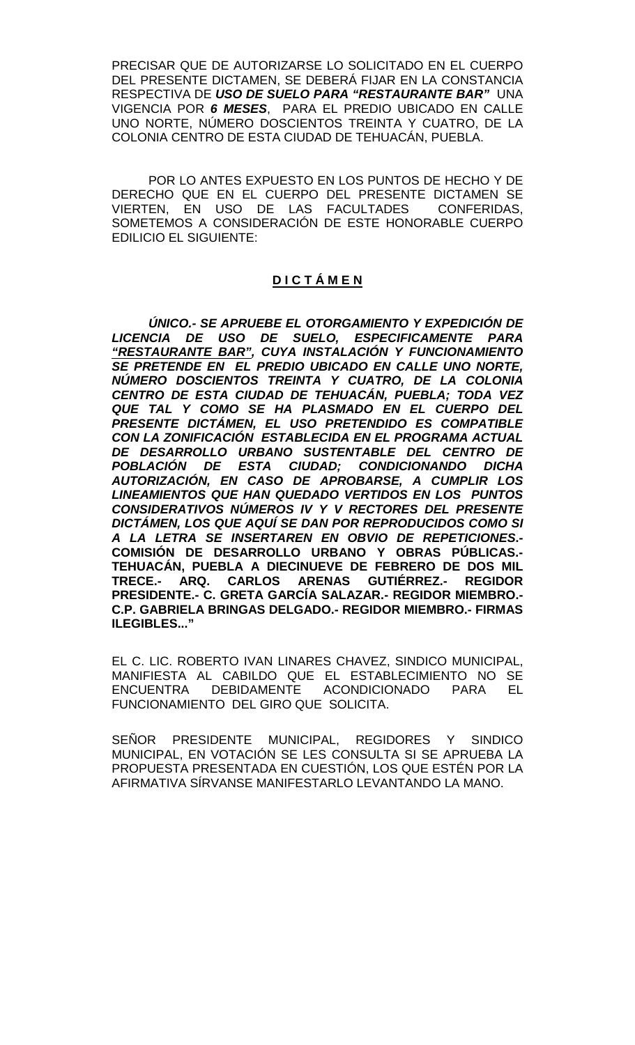PRECISAR QUE DE AUTORIZARSE LO SOLICITADO EN EL CUERPO DEL PRESENTE DICTAMEN, SE DEBERÁ FIJAR EN LA CONSTANCIA RESPECTIVA DE *USO DE SUELO PARA "RESTAURANTE BAR"* UNA VIGENCIA POR *6 MESES*, PARA EL PREDIO UBICADO EN CALLE UNO NORTE, NÚMERO DOSCIENTOS TREINTA Y CUATRO, DE LA COLONIA CENTRO DE ESTA CIUDAD DE TEHUACÁN, PUEBLA.

POR LO ANTES EXPUESTO EN LOS PUNTOS DE HECHO Y DE DERECHO QUE EN EL CUERPO DEL PRESENTE DICTAMEN SE VIERTEN, EN USO DE LAS FACULTADES CONFERIDAS, SOMETEMOS A CONSIDERACIÓN DE ESTE HONORABLE CUERPO EDILICIO EL SIGUIENTE:

# **D I C T Á M E N**

*ÚNICO.- SE APRUEBE EL OTORGAMIENTO Y EXPEDICIÓN DE LICENCIA DE USO DE SUELO, ESPECIFICAMENTE PARA "RESTAURANTE BAR", CUYA INSTALACIÓN Y FUNCIONAMIENTO SE PRETENDE EN EL PREDIO UBICADO EN CALLE UNO NORTE, NÚMERO DOSCIENTOS TREINTA Y CUATRO, DE LA COLONIA CENTRO DE ESTA CIUDAD DE TEHUACÁN, PUEBLA; TODA VEZ QUE TAL Y COMO SE HA PLASMADO EN EL CUERPO DEL PRESENTE DICTÁMEN, EL USO PRETENDIDO ES COMPATIBLE CON LA ZONIFICACIÓN ESTABLECIDA EN EL PROGRAMA ACTUAL DE DESARROLLO URBANO SUSTENTABLE DEL CENTRO DE POBLACIÓN DE ESTA CIUDAD; CONDICIONANDO DICHA AUTORIZACIÓN, EN CASO DE APROBARSE, A CUMPLIR LOS LINEAMIENTOS QUE HAN QUEDADO VERTIDOS EN LOS PUNTOS CONSIDERATIVOS NÚMEROS IV Y V RECTORES DEL PRESENTE DICTÁMEN, LOS QUE AQUÍ SE DAN POR REPRODUCIDOS COMO SI A LA LETRA SE INSERTAREN EN OBVIO DE REPETICIONES***.- COMISIÓN DE DESARROLLO URBANO Y OBRAS PÚBLICAS.- TEHUACÁN, PUEBLA A DIECINUEVE DE FEBRERO DE DOS MIL TRECE.- ARQ. CARLOS PRESIDENTE.- C. GRETA GARCÍA SALAZAR.- REGIDOR MIEMBRO.- C.P. GABRIELA BRINGAS DELGADO.- REGIDOR MIEMBRO.- FIRMAS ILEGIBLES..."**

EL C. LIC. ROBERTO IVAN LINARES CHAVEZ, SINDICO MUNICIPAL, MANIFIESTA AL CABILDO QUE EL ESTABLECIMIENTO NO SE ENCUENTRA DEBIDAMENTE ACONDICIONADO PARA EL FUNCIONAMIENTO DEL GIRO QUE SOLICITA.

SEÑOR PRESIDENTE MUNICIPAL, REGIDORES Y SINDICO MUNICIPAL, EN VOTACIÓN SE LES CONSULTA SI SE APRUEBA LA PROPUESTA PRESENTADA EN CUESTIÓN, LOS QUE ESTÉN POR LA AFIRMATIVA SÍRVANSE MANIFESTARLO LEVANTANDO LA MANO.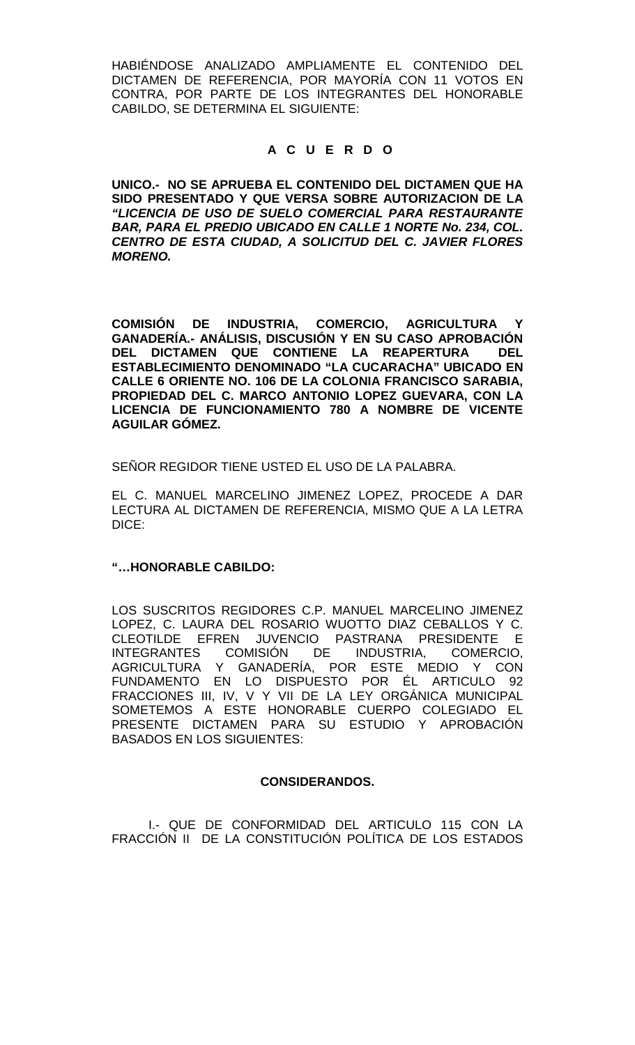HABIÉNDOSE ANALIZADO AMPLIAMENTE EL CONTENIDO DEL DICTAMEN DE REFERENCIA, POR MAYORÍA CON 11 VOTOS EN CONTRA, POR PARTE DE LOS INTEGRANTES DEL HONORABLE CABILDO, SE DETERMINA EL SIGUIENTE:

### **A C U E R D O**

**UNICO.- NO SE APRUEBA EL CONTENIDO DEL DICTAMEN QUE HA SIDO PRESENTADO Y QUE VERSA SOBRE AUTORIZACION DE LA**  *"LICENCIA DE USO DE SUELO COMERCIAL PARA RESTAURANTE BAR, PARA EL PREDIO UBICADO EN CALLE 1 NORTE No. 234, COL. CENTRO DE ESTA CIUDAD, A SOLICITUD DEL C. JAVIER FLORES MORENO.*

**COMISIÓN DE INDUSTRIA, COMERCIO, AGRICULTURA Y GANADERÍA.- ANÁLISIS, DISCUSIÓN Y EN SU CASO APROBACIÓN DEL DICTAMEN QUE CONTIENE LA REAPERTURA DEL ESTABLECIMIENTO DENOMINADO "LA CUCARACHA" UBICADO EN CALLE 6 ORIENTE NO. 106 DE LA COLONIA FRANCISCO SARABIA, PROPIEDAD DEL C. MARCO ANTONIO LOPEZ GUEVARA, CON LA LICENCIA DE FUNCIONAMIENTO 780 A NOMBRE DE VICENTE AGUILAR GÓMEZ.**

SEÑOR REGIDOR TIENE USTED EL USO DE LA PALABRA.

EL C. MANUEL MARCELINO JIMENEZ LOPEZ, PROCEDE A DAR LECTURA AL DICTAMEN DE REFERENCIA, MISMO QUE A LA LETRA DICE:

### **"…HONORABLE CABILDO:**

LOS SUSCRITOS REGIDORES C.P. MANUEL MARCELINO JIMENEZ LOPEZ, C. LAURA DEL ROSARIO WUOTTO DIAZ CEBALLOS Y C. CLEOTILDE EFREN JUVENCIO PASTRANA PRESIDENTE E INTEGRANTES COMISIÓN DE INDUSTRIA, COMERCIO, AGRICULTURA Y GANADERÍA, POR ESTE MEDIO Y CON FUNDAMENTO EN LO DISPUESTO POR ÉL ARTICULO 92 FRACCIONES III, IV, V Y VII DE LA LEY ORGÁNICA MUNICIPAL SOMETEMOS A ESTE HONORABLE CUERPO COLEGIADO EL PRESENTE DICTAMEN PARA SU ESTUDIO Y APROBACIÓN BASADOS EN LOS SIGUIENTES:

# **CONSIDERANDOS.**

I.- QUE DE CONFORMIDAD DEL ARTICULO 115 CON LA FRACCIÓN II DE LA CONSTITUCIÓN POLÍTICA DE LOS ESTADOS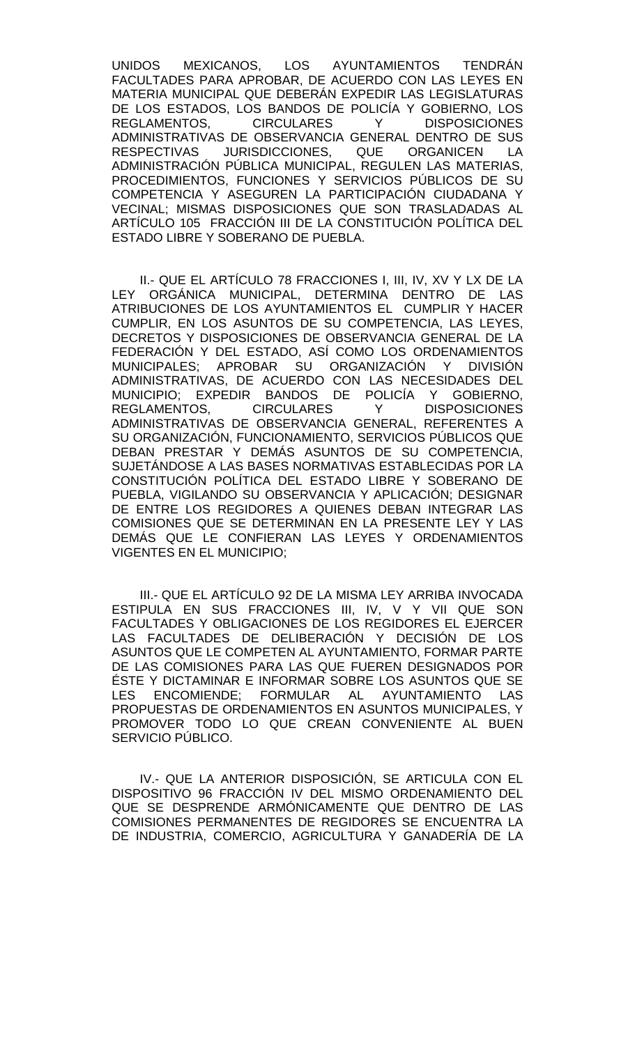UNIDOS MEXICANOS, LOS AYUNTAMIENTOS TENDRÁN FACULTADES PARA APROBAR, DE ACUERDO CON LAS LEYES EN MATERIA MUNICIPAL QUE DEBERÁN EXPEDIR LAS LEGISLATURAS DE LOS ESTADOS, LOS BANDOS DE POLICÍA Y GOBIERNO, LOS REGLAMENTOS, CIRCULARES Y DISPOSICIONES ADMINISTRATIVAS DE OBSERVANCIA GENERAL DENTRO DE SUS RESPECTIVAS JURISDICCIONES, QUE ORGANICEN LA ADMINISTRACIÓN PÚBLICA MUNICIPAL, REGULEN LAS MATERIAS, PROCEDIMIENTOS, FUNCIONES Y SERVICIOS PÚBLICOS DE SU COMPETENCIA Y ASEGUREN LA PARTICIPACIÓN CIUDADANA Y VECINAL; MISMAS DISPOSICIONES QUE SON TRASLADADAS AL ARTÍCULO 105 FRACCIÓN III DE LA CONSTITUCIÓN POLÍTICA DEL ESTADO LIBRE Y SOBERANO DE PUEBLA.

II.- QUE EL ARTÍCULO 78 FRACCIONES I, III, IV, XV Y LX DE LA LEY ORGÁNICA MUNICIPAL, DETERMINA DENTRO DE LAS ATRIBUCIONES DE LOS AYUNTAMIENTOS EL CUMPLIR Y HACER CUMPLIR, EN LOS ASUNTOS DE SU COMPETENCIA, LAS LEYES, DECRETOS Y DISPOSICIONES DE OBSERVANCIA GENERAL DE LA FEDERACIÓN Y DEL ESTADO, ASÍ COMO LOS ORDENAMIENTOS MUNICIPALES; APROBAR SU ORGANIZACIÓN Y DIVISIÓN ADMINISTRATIVAS, DE ACUERDO CON LAS NECESIDADES DEL MUNICIPIO; EXPEDIR BANDOS DE POLICÍA Y GOBIERNO, REGLAMENTOS, CIRCULARES ADMINISTRATIVAS DE OBSERVANCIA GENERAL, REFERENTES A SU ORGANIZACIÓN, FUNCIONAMIENTO, SERVICIOS PÚBLICOS QUE DEBAN PRESTAR Y DEMÁS ASUNTOS DE SU COMPETENCIA, SUJETÁNDOSE A LAS BASES NORMATIVAS ESTABLECIDAS POR LA CONSTITUCIÓN POLÍTICA DEL ESTADO LIBRE Y SOBERANO DE PUEBLA, VIGILANDO SU OBSERVANCIA Y APLICACIÓN; DESIGNAR DE ENTRE LOS REGIDORES A QUIENES DEBAN INTEGRAR LAS COMISIONES QUE SE DETERMINAN EN LA PRESENTE LEY Y LAS DEMÁS QUE LE CONFIERAN LAS LEYES Y ORDENAMIENTOS VIGENTES EN EL MUNICIPIO;

III.- QUE EL ARTÍCULO 92 DE LA MISMA LEY ARRIBA INVOCADA ESTIPULA EN SUS FRACCIONES III, IV, V Y VII QUE SON FACULTADES Y OBLIGACIONES DE LOS REGIDORES EL EJERCER LAS FACULTADES DE DELIBERACIÓN Y DECISIÓN DE LOS ASUNTOS QUE LE COMPETEN AL AYUNTAMIENTO, FORMAR PARTE DE LAS COMISIONES PARA LAS QUE FUEREN DESIGNADOS POR ÉSTE Y DICTAMINAR E INFORMAR SOBRE LOS ASUNTOS QUE SE LES ENCOMIENDE; FORMULAR AL AYUNTAMIENTO LAS PROPUESTAS DE ORDENAMIENTOS EN ASUNTOS MUNICIPALES, Y PROMOVER TODO LO QUE CREAN CONVENIENTE AL BUEN SERVICIO PÚBLICO.

IV.- QUE LA ANTERIOR DISPOSICIÓN, SE ARTICULA CON EL DISPOSITIVO 96 FRACCIÓN IV DEL MISMO ORDENAMIENTO DEL QUE SE DESPRENDE ARMÓNICAMENTE QUE DENTRO DE LAS COMISIONES PERMANENTES DE REGIDORES SE ENCUENTRA LA DE INDUSTRIA, COMERCIO, AGRICULTURA Y GANADERÍA DE LA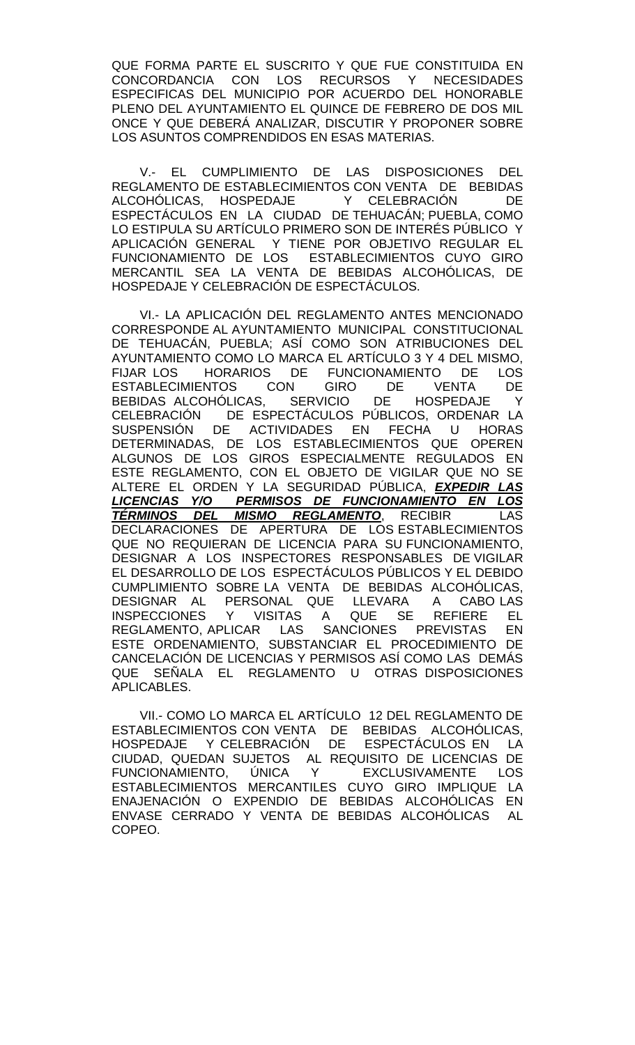QUE FORMA PARTE EL SUSCRITO Y QUE FUE CONSTITUIDA EN CONCORDANCIA CON LOS RECURSOS Y NECESIDADES ESPECIFICAS DEL MUNICIPIO POR ACUERDO DEL HONORABLE PLENO DEL AYUNTAMIENTO EL QUINCE DE FEBRERO DE DOS MIL ONCE Y QUE DEBERÁ ANALIZAR, DISCUTIR Y PROPONER SOBRE LOS ASUNTOS COMPRENDIDOS EN ESAS MATERIAS.

V.- EL CUMPLIMIENTO DE LAS DISPOSICIONES DEL REGLAMENTO DE ESTABLECIMIENTOS CON VENTA DE BEBIDAS ALCOHÓLICAS, HOSPEDAJE Y CELEBRACIÓN DE ESPECTÁCULOS EN LA CIUDAD DE TEHUACÁN; PUEBLA, COMO LO ESTIPULA SU ARTÍCULO PRIMERO SON DE INTERÉS PÚBLICO Y APLICACIÓN GENERAL Y TIENE POR OBJETIVO REGULAR EL FUNCIONAMIENTO DE LOS ESTABLECIMIENTOS CUYO GIRO MERCANTIL SEA LA VENTA DE BEBIDAS ALCOHÓLICAS, DE HOSPEDAJE Y CELEBRACIÓN DE ESPECTÁCULOS.

VI.- LA APLICACIÓN DEL REGLAMENTO ANTES MENCIONADO CORRESPONDE AL AYUNTAMIENTO MUNICIPAL CONSTITUCIONAL DE TEHUACÁN, PUEBLA; ASÍ COMO SON ATRIBUCIONES DEL AYUNTAMIENTO COMO LO MARCA EL ARTÍCULO 3 Y 4 DEL MISMO, HORARIOS DE FUNCIONAMIENTO DE<br>INTOS CON GIRO DE VENTA ESTABLECIMIENTOS CON GIRO DE VENTA DE<br>BEBIDAS ALCOHÓLICAS. SERVICIO DE HOSPEDAJE Y BEBIDAS ALCOHÓLICAS. CELEBRACIÓN DE ESPECTÁCULOS PÚBLICOS, ORDENAR LA SUSPENSIÓN DE ACTIVIDADES EN FECHA U HORAS DETERMINADAS, DE LOS ESTABLECIMIENTOS QUE OPEREN ALGUNOS DE LOS GIROS ESPECIALMENTE REGULADOS EN ESTE REGLAMENTO, CON EL OBJETO DE VIGILAR QUE NO SE ALTERE EL ORDEN Y LA SEGURIDAD PÚBLICA, *EXPEDIR LAS LICENCIAS Y/O PERMISOS DE FUNCIONAMIENTO EN LOS TÉRMINOS DEL MISMO REGLAMENTO*, RECIBIR LAS DECLARACIONES DE APERTURA DE LOS ESTABLECIMIENTOS QUE NO REQUIERAN DE LICENCIA PARA SU FUNCIONAMIENTO, DESIGNAR A LOS INSPECTORES RESPONSABLES DE VIGILAR EL DESARROLLO DE LOS ESPECTÁCULOS PÚBLICOS Y EL DEBIDO CUMPLIMIENTO SOBRE LA VENTA DE BEBIDAS ALCOHÓLICAS, DESIGNAR AL PERSONAL QUE LLEVARA A CABOLAS<br>INSPECCIONES Y VISITAS A QUE SE REFIERE EL INSPECCIONES Y VISITAS A QUE SE REFIERE EL<br>REGLAMENTO, APLICAR LAS SANCIONES PREVISTAS EN REGLAMENTO, APLICAR LAS SANCIONES PREVISTAS EN ESTE ORDENAMIENTO, SUBSTANCIAR EL PROCEDIMIENTO DE CANCELACIÓN DE LICENCIAS Y PERMISOS ASÍ COMO LAS DEMÁS QUE SEÑALA EL REGLAMENTO U OTRAS DISPOSICIONES APLICABLES.

VII.- COMO LO MARCA EL ARTÍCULO 12 DEL REGLAMENTO DE ESTABLECIMIENTOS CON VENTA DE BEBIDAS ALCOHÓLICAS, HOSPEDAJE Y CELEBRACIÓN DE ESPECTÁCULOS EN LA CIUDAD, QUEDAN SUJETOS AL REQUISITO DE LICENCIAS DE FUNCIONAMIENTO, ÚNICA Y EXCLUSIVAMENTE LOS ESTABLECIMIENTOS MERCANTILES CUYO GIRO IMPLIQUE LA ENAJENACIÓN O EXPENDIO DE BEBIDAS ALCOHÓLICAS EN ENVASE CERRADO Y VENTA DE BEBIDAS ALCOHÓLICAS AL COPEO.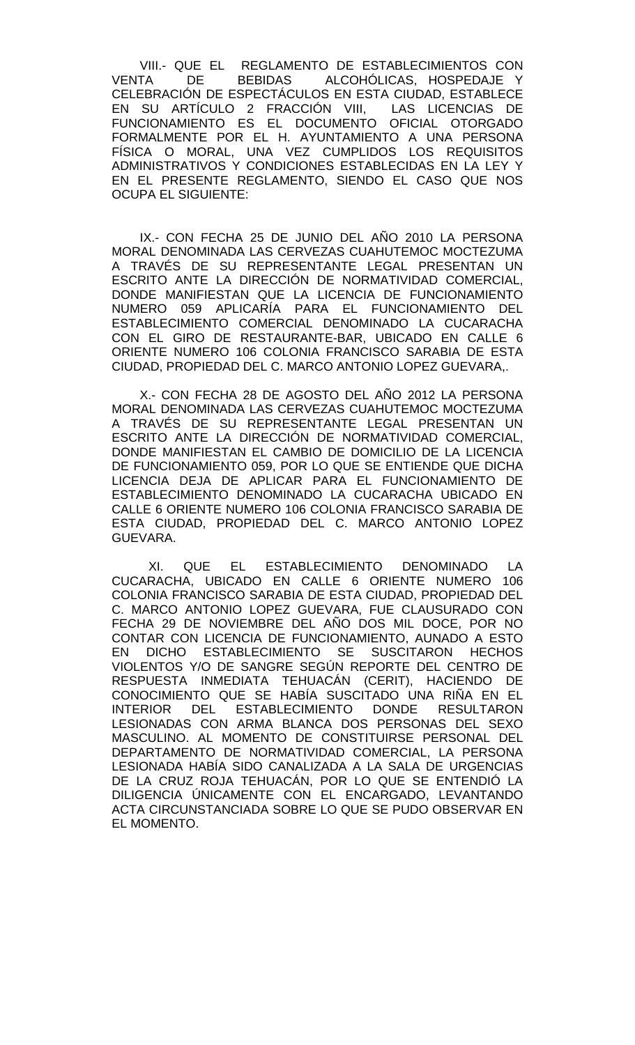VIII.- QUE EL REGLAMENTO DE ESTABLECIMIENTOS CON<br>VENTA DE BEBIDAS ALCOHÓLICAS. HOSPEDAJE Y DE BEBIDAS ALCOHÓLICAS, HOSPEDAJE Y CELEBRACIÓN DE ESPECTÁCULOS EN ESTA CIUDAD, ESTABLECE EN SU ARTÍCULO 2 FRACCIÓN VIII, LAS LICENCIAS DE FUNCIONAMIENTO ES EL DOCUMENTO OFICIAL OTORGADO FORMALMENTE POR EL H. AYUNTAMIENTO A UNA PERSONA FÍSICA O MORAL, UNA VEZ CUMPLIDOS LOS REQUISITOS ADMINISTRATIVOS Y CONDICIONES ESTABLECIDAS EN LA LEY Y EN EL PRESENTE REGLAMENTO, SIENDO EL CASO QUE NOS OCUPA EL SIGUIENTE:

IX.- CON FECHA 25 DE JUNIO DEL AÑO 2010 LA PERSONA MORAL DENOMINADA LAS CERVEZAS CUAHUTEMOC MOCTEZUMA A TRAVÉS DE SU REPRESENTANTE LEGAL PRESENTAN UN ESCRITO ANTE LA DIRECCIÓN DE NORMATIVIDAD COMERCIAL, DONDE MANIFIESTAN QUE LA LICENCIA DE FUNCIONAMIENTO NUMERO 059 APLICARÍA PARA EL FUNCIONAMIENTO DEL ESTABLECIMIENTO COMERCIAL DENOMINADO LA CUCARACHA CON EL GIRO DE RESTAURANTE-BAR, UBICADO EN CALLE 6 ORIENTE NUMERO 106 COLONIA FRANCISCO SARABIA DE ESTA CIUDAD, PROPIEDAD DEL C. MARCO ANTONIO LOPEZ GUEVARA,.

X.- CON FECHA 28 DE AGOSTO DEL AÑO 2012 LA PERSONA MORAL DENOMINADA LAS CERVEZAS CUAHUTEMOC MOCTEZUMA A TRAVÉS DE SU REPRESENTANTE LEGAL PRESENTAN UN ESCRITO ANTE LA DIRECCIÓN DE NORMATIVIDAD COMERCIAL, DONDE MANIFIESTAN EL CAMBIO DE DOMICILIO DE LA LICENCIA DE FUNCIONAMIENTO 059, POR LO QUE SE ENTIENDE QUE DICHA LICENCIA DEJA DE APLICAR PARA EL FUNCIONAMIENTO DE ESTABLECIMIENTO DENOMINADO LA CUCARACHA UBICADO EN CALLE 6 ORIENTE NUMERO 106 COLONIA FRANCISCO SARABIA DE ESTA CIUDAD, PROPIEDAD DEL C. MARCO ANTONIO LOPEZ GUEVARA.

XI. QUE EL ESTABLECIMIENTO DENOMINADO LA CUCARACHA, UBICADO EN CALLE 6 ORIENTE NUMERO 106 COLONIA FRANCISCO SARABIA DE ESTA CIUDAD, PROPIEDAD DEL C. MARCO ANTONIO LOPEZ GUEVARA, FUE CLAUSURADO CON FECHA 29 DE NOVIEMBRE DEL AÑO DOS MIL DOCE, POR NO CONTAR CON LICENCIA DE FUNCIONAMIENTO, AUNADO A ESTO EN DICHO ESTABLECIMIENTO SE SUSCITARON HECHOS VIOLENTOS Y/O DE SANGRE SEGÚN REPORTE DEL CENTRO DE RESPUESTA INMEDIATA TEHUACÁN (CERIT), HACIENDO DE CONOCIMIENTO QUE SE HABÍA SUSCITADO UNA RIÑA EN EL INTERIOR DEL ESTABLECIMIENTO DONDE RESULTARON LESIONADAS CON ARMA BLANCA DOS PERSONAS DEL SEXO MASCULINO. AL MOMENTO DE CONSTITUIRSE PERSONAL DEL DEPARTAMENTO DE NORMATIVIDAD COMERCIAL, LA PERSONA LESIONADA HABÍA SIDO CANALIZADA A LA SALA DE URGENCIAS DE LA CRUZ ROJA TEHUACÁN, POR LO QUE SE ENTENDIÓ LA DILIGENCIA ÚNICAMENTE CON EL ENCARGADO, LEVANTANDO ACTA CIRCUNSTANCIADA SOBRE LO QUE SE PUDO OBSERVAR EN EL MOMENTO.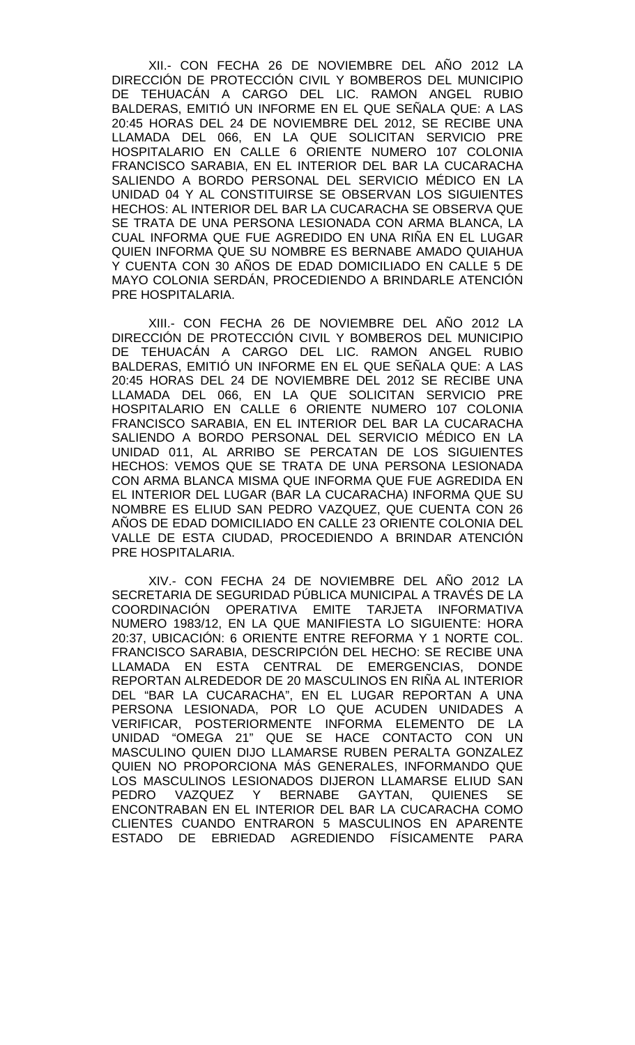XII.- CON FECHA 26 DE NOVIEMBRE DEL AÑO 2012 LA DIRECCIÓN DE PROTECCIÓN CIVIL Y BOMBEROS DEL MUNICIPIO DE TEHUACÁN A CARGO DEL LIC. RAMON ANGEL RUBIO BALDERAS, EMITIÓ UN INFORME EN EL QUE SEÑALA QUE: A LAS 20:45 HORAS DEL 24 DE NOVIEMBRE DEL 2012, SE RECIBE UNA LLAMADA DEL 066, EN LA QUE SOLICITAN SERVICIO PRE HOSPITALARIO EN CALLE 6 ORIENTE NUMERO 107 COLONIA FRANCISCO SARABIA, EN EL INTERIOR DEL BAR LA CUCARACHA SALIENDO A BORDO PERSONAL DEL SERVICIO MÉDICO EN LA UNIDAD 04 Y AL CONSTITUIRSE SE OBSERVAN LOS SIGUIENTES HECHOS: AL INTERIOR DEL BAR LA CUCARACHA SE OBSERVA QUE SE TRATA DE UNA PERSONA LESIONADA CON ARMA BLANCA, LA CUAL INFORMA QUE FUE AGREDIDO EN UNA RIÑA EN EL LUGAR QUIEN INFORMA QUE SU NOMBRE ES BERNABE AMADO QUIAHUA Y CUENTA CON 30 AÑOS DE EDAD DOMICILIADO EN CALLE 5 DE MAYO COLONIA SERDÁN, PROCEDIENDO A BRINDARLE ATENCIÓN PRE HOSPITALARIA.

XIII.- CON FECHA 26 DE NOVIEMBRE DEL AÑO 2012 LA DIRECCIÓN DE PROTECCIÓN CIVIL Y BOMBEROS DEL MUNICIPIO DE TEHUACÁN A CARGO DEL LIC. RAMON ANGEL RUBIO BALDERAS, EMITIÓ UN INFORME EN EL QUE SEÑALA QUE: A LAS 20:45 HORAS DEL 24 DE NOVIEMBRE DEL 2012 SE RECIBE UNA LLAMADA DEL 066, EN LA QUE SOLICITAN SERVICIO PRE HOSPITALARIO EN CALLE 6 ORIENTE NUMERO 107 COLONIA FRANCISCO SARABIA, EN EL INTERIOR DEL BAR LA CUCARACHA SALIENDO A BORDO PERSONAL DEL SERVICIO MÉDICO EN LA UNIDAD 011, AL ARRIBO SE PERCATAN DE LOS SIGUIENTES HECHOS: VEMOS QUE SE TRATA DE UNA PERSONA LESIONADA CON ARMA BLANCA MISMA QUE INFORMA QUE FUE AGREDIDA EN EL INTERIOR DEL LUGAR (BAR LA CUCARACHA) INFORMA QUE SU NOMBRE ES ELIUD SAN PEDRO VAZQUEZ, QUE CUENTA CON 26 AÑOS DE EDAD DOMICILIADO EN CALLE 23 ORIENTE COLONIA DEL VALLE DE ESTA CIUDAD, PROCEDIENDO A BRINDAR ATENCIÓN PRE HOSPITALARIA.

XIV.- CON FECHA 24 DE NOVIEMBRE DEL AÑO 2012 LA SECRETARIA DE SEGURIDAD PÚBLICA MUNICIPAL A TRAVÉS DE LA COORDINACIÓN OPERATIVA EMITE TARJETA INFORMATIVA NUMERO 1983/12, EN LA QUE MANIFIESTA LO SIGUIENTE: HORA 20:37, UBICACIÓN: 6 ORIENTE ENTRE REFORMA Y 1 NORTE COL. FRANCISCO SARABIA, DESCRIPCIÓN DEL HECHO: SE RECIBE UNA LLAMADA EN ESTA CENTRAL DE EMERGENCIAS, DONDE REPORTAN ALREDEDOR DE 20 MASCULINOS EN RIÑA AL INTERIOR DEL "BAR LA CUCARACHA", EN EL LUGAR REPORTAN A UNA PERSONA LESIONADA, POR LO QUE ACUDEN UNIDADES A VERIFICAR, POSTERIORMENTE INFORMA ELEMENTO DE LA UNIDAD "OMEGA 21" QUE SE HACE CONTACTO CON UN MASCULINO QUIEN DIJO LLAMARSE RUBEN PERALTA GONZALEZ QUIEN NO PROPORCIONA MÁS GENERALES, INFORMANDO QUE LOS MASCULINOS LESIONADOS DIJERON LLAMARSE ELIUD SAN<br>PEDRO VAZOUEZ Y BERNABE GAYTAN, QUIENES SE VAZQUEZ Y BERNABE GAYTAN, QUIENES SE ENCONTRABAN EN EL INTERIOR DEL BAR LA CUCARACHA COMO CLIENTES CUANDO ENTRARON 5 MASCULINOS EN APARENTE ESTADO DE EBRIEDAD AGREDIENDO FÍSICAMENTE PARA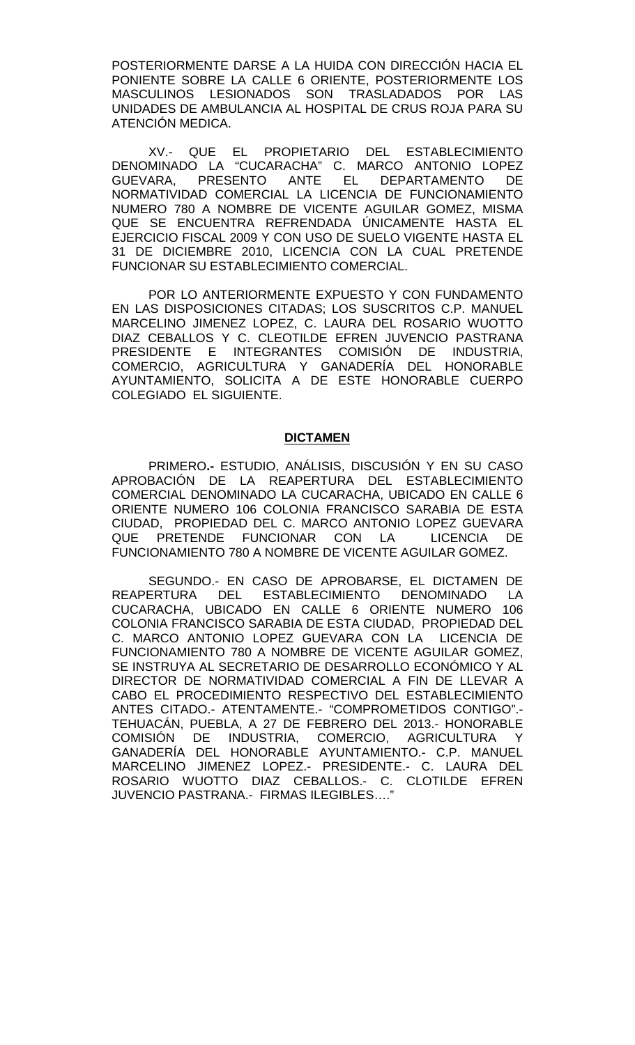POSTERIORMENTE DARSE A LA HUIDA CON DIRECCIÓN HACIA EL PONIENTE SOBRE LA CALLE 6 ORIENTE, POSTERIORMENTE LOS MASCULINOS LESIONADOS SON TRASLADADOS POR LAS UNIDADES DE AMBULANCIA AL HOSPITAL DE CRUS ROJA PARA SU ATENCIÓN MEDICA.

XV.- QUE EL PROPIETARIO DEL ESTABLECIMIENTO DENOMINADO LA "CUCARACHA" C. MARCO ANTONIO LOPEZ GUEVARA, PRESENTO ANTE EL DEPARTAMENTO DE NORMATIVIDAD COMERCIAL LA LICENCIA DE FUNCIONAMIENTO NUMERO 780 A NOMBRE DE VICENTE AGUILAR GOMEZ, MISMA QUE SE ENCUENTRA REFRENDADA ÚNICAMENTE HASTA EL EJERCICIO FISCAL 2009 Y CON USO DE SUELO VIGENTE HASTA EL 31 DE DICIEMBRE 2010, LICENCIA CON LA CUAL PRETENDE FUNCIONAR SU ESTABLECIMIENTO COMERCIAL.

POR LO ANTERIORMENTE EXPUESTO Y CON FUNDAMENTO EN LAS DISPOSICIONES CITADAS; LOS SUSCRITOS C.P. MANUEL MARCELINO JIMENEZ LOPEZ, C. LAURA DEL ROSARIO WUOTTO DIAZ CEBALLOS Y C. CLEOTILDE EFREN JUVENCIO PASTRANA PRESIDENTE E INTEGRANTES COMISIÓN DE INDUSTRIA, COMERCIO, AGRICULTURA Y GANADERÍA DEL HONORABLE AYUNTAMIENTO, SOLICITA A DE ESTE HONORABLE CUERPO COLEGIADO EL SIGUIENTE.

#### **DICTAMEN**

PRIMERO**.-** ESTUDIO, ANÁLISIS, DISCUSIÓN Y EN SU CASO APROBACIÓN DE LA REAPERTURA DEL ESTABLECIMIENTO COMERCIAL DENOMINADO LA CUCARACHA, UBICADO EN CALLE 6 ORIENTE NUMERO 106 COLONIA FRANCISCO SARABIA DE ESTA CIUDAD, PROPIEDAD DEL C. MARCO ANTONIO LOPEZ GUEVARA<br>QUE PRETENDE FUNCIONAR CON LA LICENCIA DE PRETENDE FUNCIONAR CON LA LICENCIA DE FUNCIONAMIENTO 780 A NOMBRE DE VICENTE AGUILAR GOMEZ.

SEGUNDO.- EN CASO DE APROBARSE, EL DICTAMEN DE REAPERTURA DEL ESTABLECIMIENTO DENOMINADO LA CUCARACHA, UBICADO EN CALLE 6 ORIENTE NUMERO 106 COLONIA FRANCISCO SARABIA DE ESTA CIUDAD, PROPIEDAD DEL C. MARCO ANTONIO LOPEZ GUEVARA CON LA LICENCIA DE FUNCIONAMIENTO 780 A NOMBRE DE VICENTE AGUILAR GOMEZ, SE INSTRUYA AL SECRETARIO DE DESARROLLO ECONÓMICO Y AL DIRECTOR DE NORMATIVIDAD COMERCIAL A FIN DE LLEVAR A CABO EL PROCEDIMIENTO RESPECTIVO DEL ESTABLECIMIENTO ANTES CITADO.- ATENTAMENTE.- "COMPROMETIDOS CONTIGO".- TEHUACÁN, PUEBLA, A 27 DE FEBRERO DEL 2013.- HONORABLE COMISION<sub>,</sub> DE INDUSTRIA, COMERCIO, AGRICULTURA Y GANADERÍA DEL HONORABLE AYUNTAMIENTO.- C.P. MANUEL MARCELINO JIMENEZ LOPEZ.- PRESIDENTE.- C. LAURA DEL ROSARIO WUOTTO DIAZ CEBALLOS.- C. CLOTILDE EFREN JUVENCIO PASTRANA.- FIRMAS ILEGIBLES...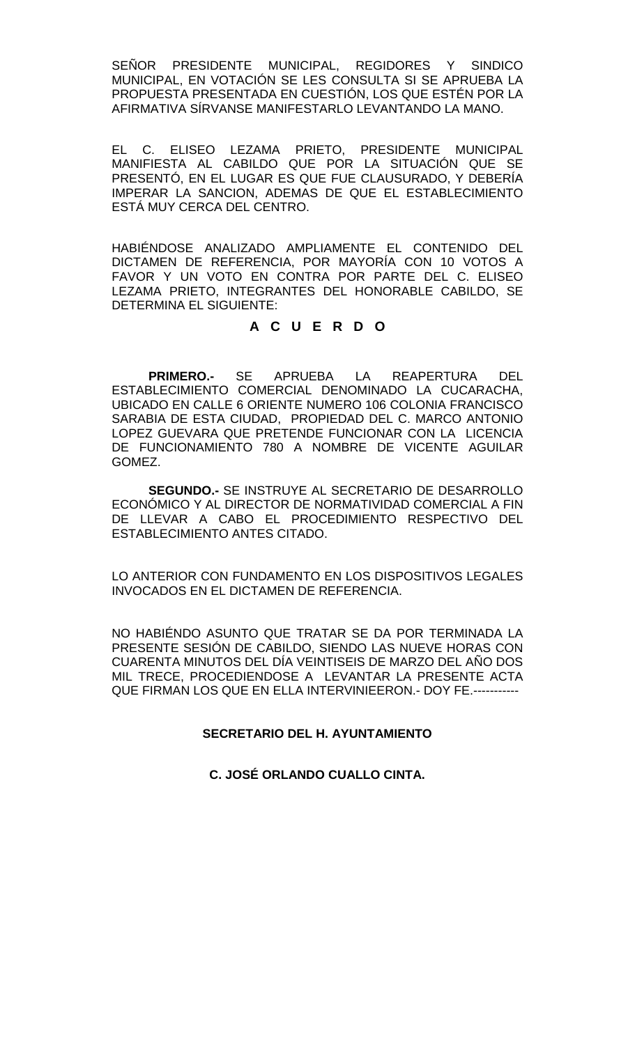SEÑOR PRESIDENTE MUNICIPAL, REGIDORES Y SINDICO MUNICIPAL, EN VOTACIÓN SE LES CONSULTA SI SE APRUEBA LA PROPUESTA PRESENTADA EN CUESTIÓN, LOS QUE ESTÉN POR LA AFIRMATIVA SÍRVANSE MANIFESTARLO LEVANTANDO LA MANO.

EL C. ELISEO LEZAMA PRIETO, PRESIDENTE MUNICIPAL MANIFIESTA AL CABILDO QUE POR LA SITUACIÓN QUE SE PRESENTÓ, EN EL LUGAR ES QUE FUE CLAUSURADO, Y DEBERÍA IMPERAR LA SANCION, ADEMAS DE QUE EL ESTABLECIMIENTO ESTÁ MUY CERCA DEL CENTRO.

HABIÉNDOSE ANALIZADO AMPLIAMENTE EL CONTENIDO DEL DICTAMEN DE REFERENCIA, POR MAYORÍA CON 10 VOTOS A FAVOR Y UN VOTO EN CONTRA POR PARTE DEL C. ELISEO LEZAMA PRIETO, INTEGRANTES DEL HONORABLE CABILDO, SE DETERMINA EL SIGUIENTE:

# **A C U E R D O**

**PRIMERO.-** SE APRUEBA LA REAPERTURA DEL ESTABLECIMIENTO COMERCIAL DENOMINADO LA CUCARACHA, UBICADO EN CALLE 6 ORIENTE NUMERO 106 COLONIA FRANCISCO SARABIA DE ESTA CIUDAD, PROPIEDAD DEL C. MARCO ANTONIO LOPEZ GUEVARA QUE PRETENDE FUNCIONAR CON LA LICENCIA DE FUNCIONAMIENTO 780 A NOMBRE DE VICENTE AGUILAR GOMEZ.

**SEGUNDO.-** SE INSTRUYE AL SECRETARIO DE DESARROLLO ECONÓMICO Y AL DIRECTOR DE NORMATIVIDAD COMERCIAL A FIN DE LLEVAR A CABO EL PROCEDIMIENTO RESPECTIVO DEL ESTABLECIMIENTO ANTES CITADO.

LO ANTERIOR CON FUNDAMENTO EN LOS DISPOSITIVOS LEGALES INVOCADOS EN EL DICTAMEN DE REFERENCIA.

NO HABIÉNDO ASUNTO QUE TRATAR SE DA POR TERMINADA LA PRESENTE SESIÓN DE CABILDO, SIENDO LAS NUEVE HORAS CON CUARENTA MINUTOS DEL DÍA VEINTISEIS DE MARZO DEL AÑO DOS MIL TRECE, PROCEDIENDOSE A LEVANTAR LA PRESENTE ACTA QUE FIRMAN LOS QUE EN ELLA INTERVINIEERON.- DOY FE.-----------

# **SECRETARIO DEL H. AYUNTAMIENTO**

# **C. JOSÉ ORLANDO CUALLO CINTA.**